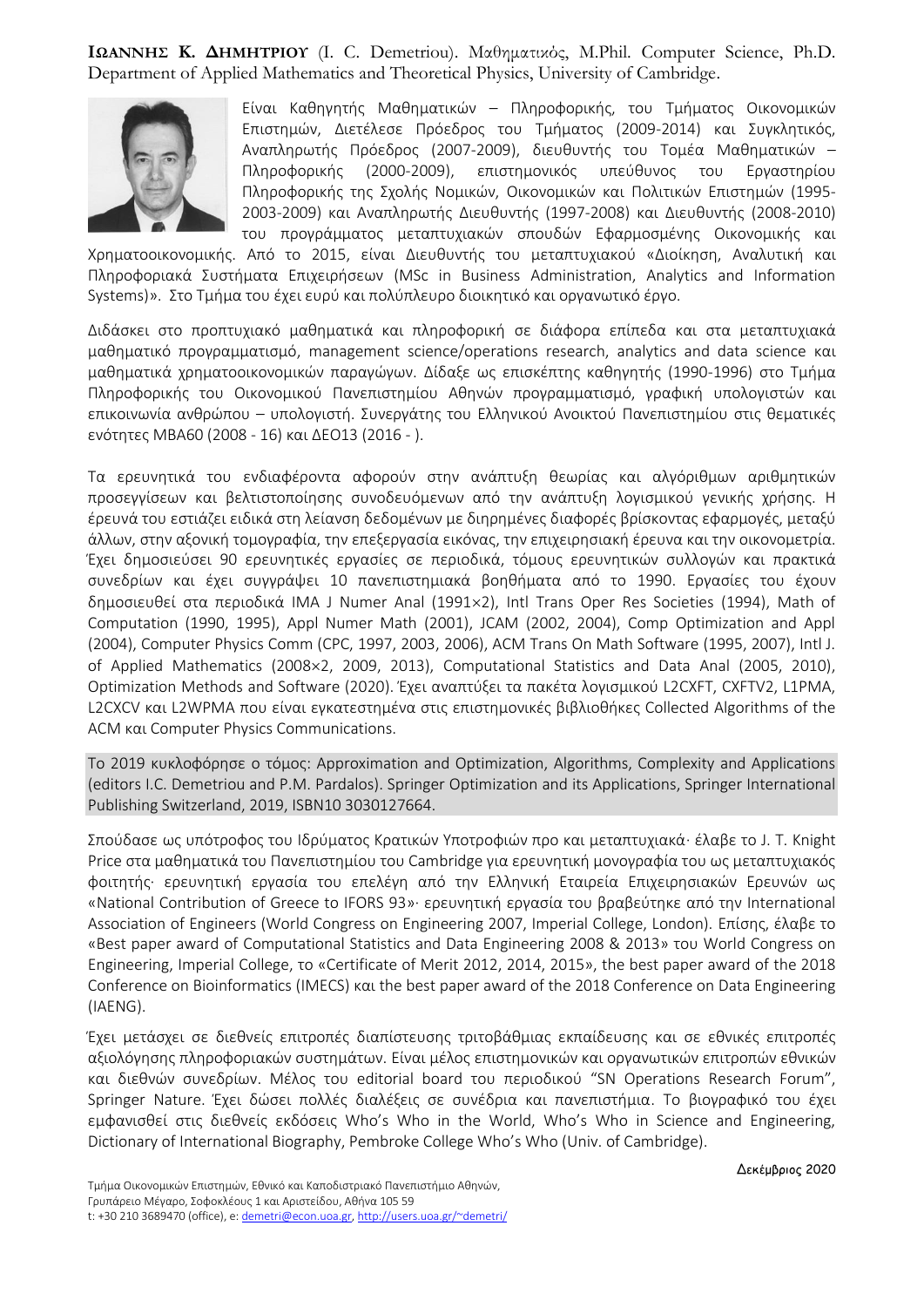**ΙΩΑΝΝΗΣ Κ. ΔΗΜΗΤΡΙΟΥ** (I. C. Demetriou). Μαθηματικός, M.Phil. Computer Science, Ph.D. Department of Applied Mathematics and Theoretical Physics, University of Cambridge.



Είναι Καθηγητής Μαθηματικών – Πληροφορικής, του Τμήματος Οικονομικών Επιστημών, Διετέλεσε Πρόεδρος του Τμήματος (2009-2014) και Συγκλητικός, Αναπληρωτής Πρόεδρος (2007-2009), διευθυντής του Τομέα Μαθηματικών – Πληροφορικής (2000-2009), επιστημονικός υπεύθυνος του Εργαστηρίου Πληροφορικής της Σχολής Νομικών, Οικονομικών και Πολιτικών Επιστημών (1995- 2003-2009) και Αναπληρωτής Διευθυντής (1997-2008) και Διευθυντής (2008-2010) του προγράμματος μεταπτυχιακών σπουδών Εφαρμοσμένης Οικονομικής και

Χρηματοοικονομικής. Από το 2015, είναι Διευθυντής του μεταπτυχιακού «Διοίκηση, Αναλυτική και Πληροφοριακά Συστήματα Επιχειρήσεων (MSc in Business Administration, Analytics and Information Systems)». Στο Τμήμα του έχει ευρύ και πολύπλευρο διοικητικό και οργανωτικό έργο.

Διδάσκει στο προπτυχιακό μαθηματικά και πληροφορική σε διάφορα επίπεδα και στα μεταπτυχιακά μαθηματικό προγραμματισμό, management science/operations research, analytics and data science και μαθηματικά χρηματοοικονομικών παραγώγων. Δίδαξε ως επισκέπτης καθηγητής (1990-1996) στο Τμήμα Πληροφορικής του Οικονομικού Πανεπιστημίου Αθηνών προγραμματισμό, γραφική υπολογιστών και επικοινωνία ανθρώπου – υπολογιστή. Συνεργάτης του Ελληνικού Ανοικτού Πανεπιστημίου στις θεματικές ενότητες ΜΒΑ60 (2008 - 16) και ΔΕΟ13 (2016 - ).

Τα ερευνητικά του ενδιαφέροντα αφορούν στην ανάπτυξη θεωρίας και αλγόριθμων αριθμητικών προσεγγίσεων και βελτιστοποίησης συνοδευόμενων από την ανάπτυξη λογισμικού γενικής χρήσης. Η έρευνά του εστιάζει ειδικά στη λείανση δεδομένων με διηρημένες διαφορές βρίσκοντας εφαρμογές, μεταξύ άλλων, στην αξονική τομογραφία, την επεξεργασία εικόνας, την επιχειρησιακή έρευνα και την οικονομετρία. Έχει δημοσιεύσει 90 ερευνητικές εργασίες σε περιοδικά, τόμους ερευνητικών συλλογών και πρακτικά συνεδρίων και έχει συγγράψει 10 πανεπιστημιακά βοηθήματα από το 1990. Εργασίες του έχουν δημοσιευθεί στα περιοδικά IMA J Numer Anal (19912), Intl Trans Oper Res Societies (1994), Math of Computation (1990, 1995), Appl Numer Math (2001), JCAM (2002, 2004), Comp Optimization and Appl (2004), Computer Physics Comm (CPC, 1997, 2003, 2006), ACM Trans On Math Software (1995, 2007), Intl J. of Applied Mathematics (2008×2, 2009, 2013), Computational Statistics and Data Anal (2005, 2010), Optimization Methods and Software (2020). Έχει αναπτύξει τα πακέτα λογισμικού L2CXFT, CXFTV2, L1PMA, L2CXCV και L2WPMA που είναι εγκατεστημένα στις επιστημονικές βιβλιοθήκες Collected Algorithms of the ACM και Computer Physics Communications.

Το 2019 κυκλοφόρησε ο τόμος: Approximation and Optimization, Algorithms, Complexity and Applications (editors I.C. Demetriou and P.M. Pardalos). Springer Optimization and its Applications, Springer International Publishing Switzerland, 2019, ISBN10 3030127664.

Σπούδασε ως υπότροφος του Ιδρύματος Κρατικών Υποτροφιών προ και μεταπτυχιακά· έλαβε το J. T. Knight Price στα μαθηματικά του Πανεπιστημίου του Cambridge για ερευνητική μονογραφία του ως μεταπτυχιακός φοιτητής· ερευνητική εργασία του επελέγη από την Ελληνική Εταιρεία Επιχειρησιακών Ερευνών ως «National Contribution of Greece to IFORS 93»· ερευνητική εργασία του βραβεύτηκε από την International Association of Engineers (World Congress on Engineering 2007, Imperial College, London). Επίσης, έλαβε το «Best paper award of Computational Statistics and Data Engineering 2008 & 2013» του World Congress on Engineering, Imperial College, το «Certificate of Merit 2012, 2014, 2015», the best paper award of the 2018 Conference on Bioinformatics (IMECS) και the best paper award of the 2018 Conference on Data Engineering (IAENG).

Έχει μετάσχει σε διεθνείς επιτροπές διαπίστευσης τριτοβάθμιας εκπαίδευσης και σε εθνικές επιτροπές αξιολόγησης πληροφοριακών συστημάτων. Είναι μέλος επιστημονικών και οργανωτικών επιτροπών εθνικών και διεθνών συνεδρίων. Μέλος του editorial board του περιοδικού "SN Operations Research Forum", Springer Nature. Έχει δώσει πολλές διαλέξεις σε συνέδρια και πανεπιστήμια. To βιογραφικό του έχει εμφανισθεί στις διεθνείς εκδόσεις Who's Who in the World, Who's Who in Science and Engineering, Dictionary of International Biography, Pembroke College Who's Who (Univ. of Cambridge).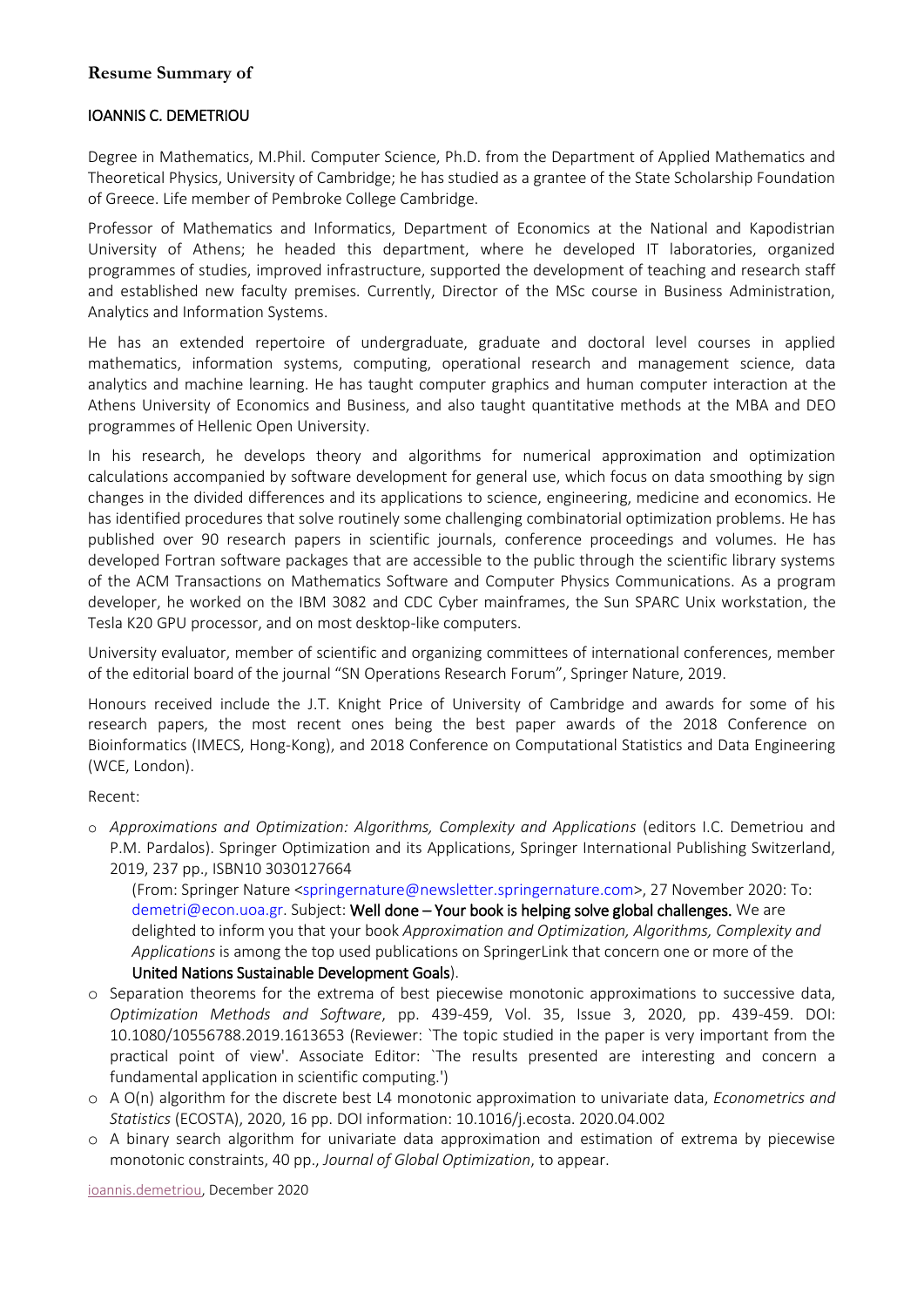## **Resume Summary of**

#### IOANNIS C. DEMETRIOU

Degree in Mathematics, M.Phil. Computer Science, Ph.D. from the Department of Applied Mathematics and Theoretical Physics, University of Cambridge; he has studied as a grantee of the State Scholarship Foundation of Greece. Life member of Pembroke College Cambridge.

Professor of Mathematics and Informatics, Department of Economics at the National and Kapodistrian University of Athens; he headed this department, where he developed IT laboratories, organized programmes of studies, improved infrastructure, supported the development of teaching and research staff and established new faculty premises. Currently, Director of the MSc course in Business Administration, Analytics and Information Systems.

He has an extended repertoire of undergraduate, graduate and doctoral level courses in applied mathematics, information systems, computing, operational research and management science, data analytics and machine learning. He has taught computer graphics and human computer interaction at the Athens University of Economics and Business, and also taught quantitative methods at the MBA and DEO programmes of Hellenic Open University.

In his research, he develops theory and algorithms for numerical approximation and optimization calculations accompanied by software development for general use, which focus on data smoothing by sign changes in the divided differences and its applications to science, engineering, medicine and economics. He has identified procedures that solve routinely some challenging combinatorial optimization problems. He has published over 90 research papers in scientific journals, conference proceedings and volumes. He has developed Fortran software packages that are accessible to the public through the scientific library systems of the ACM Transactions on Mathematics Software and Computer Physics Communications. As a program developer, he worked on the IBM 3082 and CDC Cyber mainframes, the Sun SPARC Unix workstation, the Tesla K20 GPU processor, and on most desktop-like computers.

University evaluator, member of scientific and organizing committees of international conferences, member of the editorial board of the journal "SN Operations Research Forum", Springer Nature, 2019.

Honours received include the J.T. Knight Price of University of Cambridge and awards for some of his research papers, the most recent ones being the best paper awards of the 2018 Conference on Bioinformatics (IMECS, Hong-Kong), and 2018 Conference on Computational Statistics and Data Engineering (WCE, London).

Recent:

o *Approximations and Optimization: Algorithms, Complexity and Applications* (editors I.C. Demetriou and P.M. Pardalos). Springer Optimization and its Applications, Springer International Publishing Switzerland, 2019, 237 pp., ISBN10 3030127664

(From: Springer Nature [<springernature@newsletter.springernature.com>](mailto:springernature@newsletter.springernature.com), 27 November 2020: To: [demetri@econ.uoa.gr.](mailto:demetri@econ.uoa.gr) Subject: Well done – Your book is helping solve global challenges. We are delighted to inform you that your book *Approximation and Optimization, Algorithms, Complexity and Applications* is among the top used publications on SpringerLink that concern one or more of the United Nations Sustainable Development Goals).

- o Separation theorems for the extrema of best piecewise monotonic approximations to successive data, *Optimization Methods and Software*, pp. 439-459, Vol. 35, Issue 3, 2020, pp. 439-459. DOI: 10.1080/10556788.2019.1613653 (Reviewer: `The topic studied in the paper is very important from the practical point of view'. Associate Editor: `The results presented are interesting and concern a fundamental application in scientific computing.')
- o A O(n) algorithm for the discrete best L4 monotonic approximation to univariate data, *Econometrics and Statistics* (ECOSTA), 2020, 16 pp. DOI information: 10.1016/j.ecosta. 2020.04.002
- o A binary search algorithm for univariate data approximation and estimation of extrema by piecewise monotonic constraints, 40 pp., *Journal of Global Optimization*, to appear.

[ioannis.demetriou,](mailto:ioannis.demetriou@econ.uoa.gr) December 2020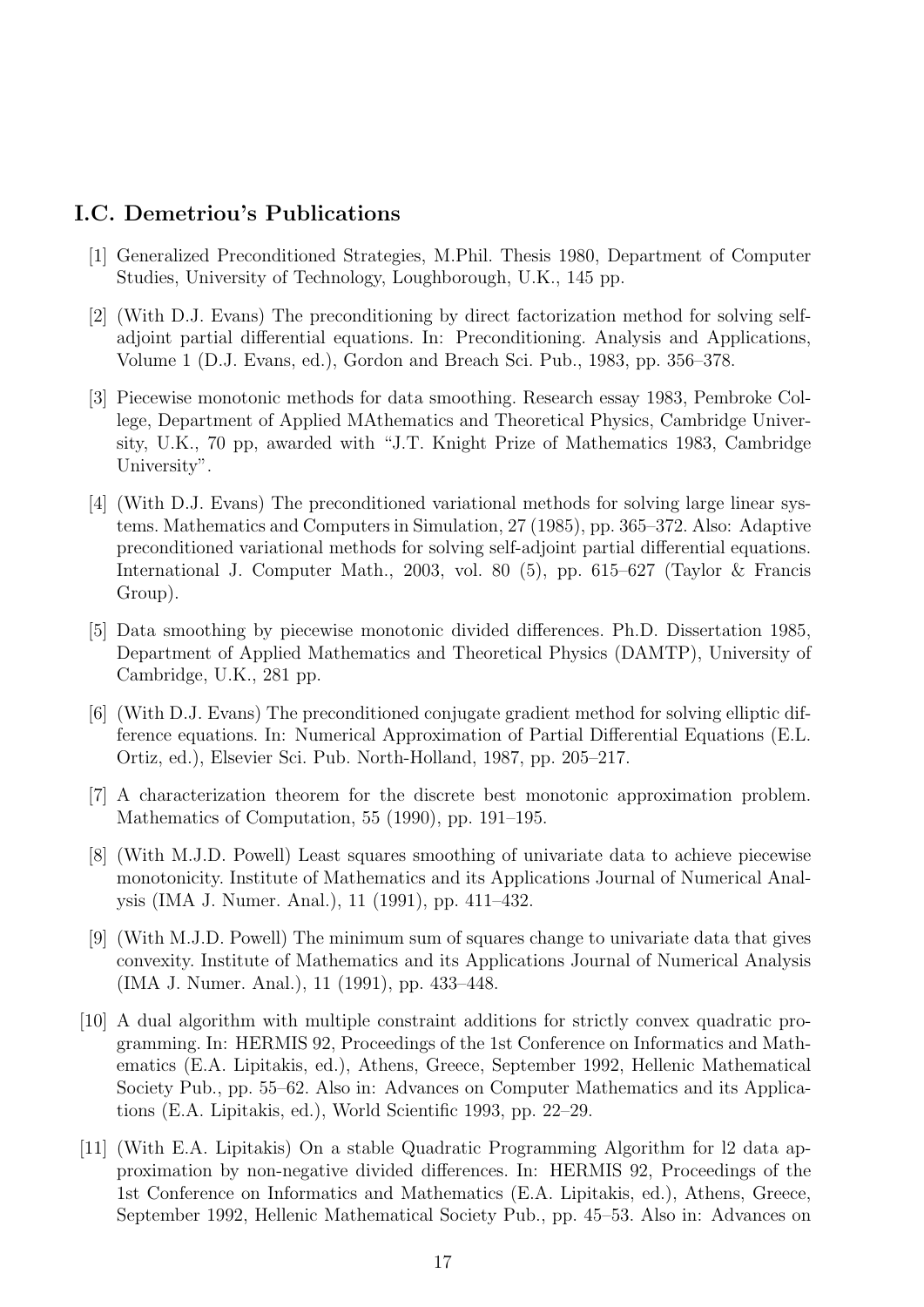# I.C. Demetriou's Publications

- [1] Generalized Preconditioned Strategies, M.Phil. Thesis 1980, Department of Computer Studies, University of Technology, Loughborough, U.K., 145 pp.
- [2] (With D.J. Evans) The preconditioning by direct factorization method for solving selfadjoint partial differential equations. In: Preconditioning. Analysis and Applications, Volume 1 (D.J. Evans, ed.), Gordon and Breach Sci. Pub., 1983, pp. 356–378.
- [3] Piecewise monotonic methods for data smoothing. Research essay 1983, Pembroke College, Department of Applied MAthematics and Theoretical Physics, Cambridge University, U.K., 70 pp, awarded with "J.T. Knight Prize of Mathematics 1983, Cambridge University".
- [4] (With D.J. Evans) The preconditioned variational methods for solving large linear systems. Mathematics and Computers in Simulation, 27 (1985), pp. 365–372. Also: Adaptive preconditioned variational methods for solving self-adjoint partial differential equations. International J. Computer Math., 2003, vol. 80 (5), pp. 615–627 (Taylor & Francis Group).
- [5] Data smoothing by piecewise monotonic divided differences. Ph.D. Dissertation 1985, Department of Applied Mathematics and Theoretical Physics (DAMTP), University of Cambridge, U.K., 281 pp.
- [6] (With D.J. Evans) The preconditioned conjugate gradient method for solving elliptic difference equations. In: Numerical Approximation of Partial Differential Equations (E.L. Ortiz, ed.), Elsevier Sci. Pub. North-Holland, 1987, pp. 205–217.
- [7] A characterization theorem for the discrete best monotonic approximation problem. Mathematics of Computation, 55 (1990), pp. 191–195.
- [8] (With M.J.D. Powell) Least squares smoothing of univariate data to achieve piecewise monotonicity. Institute of Mathematics and its Applications Journal of Numerical Analysis (IMA J. Numer. Anal.), 11 (1991), pp. 411–432.
- [9] (With M.J.D. Powell) The minimum sum of squares change to univariate data that gives convexity. Institute of Mathematics and its Applications Journal of Numerical Analysis (IMA J. Numer. Anal.), 11 (1991), pp. 433–448.
- [10] A dual algorithm with multiple constraint additions for strictly convex quadratic programming. In: HERMIS 92, Proceedings of the 1st Conference on Informatics and Mathematics (E.A. Lipitakis, ed.), Athens, Greece, September 1992, Hellenic Mathematical Society Pub., pp. 55–62. Also in: Advances on Computer Mathematics and its Applications (E.A. Lipitakis, ed.), World Scientific 1993, pp. 22–29.
- [11] (With E.A. Lipitakis) On a stable Quadratic Programming Algorithm for l2 data approximation by non-negative divided differences. In: HERMIS 92, Proceedings of the 1st Conference on Informatics and Mathematics (E.A. Lipitakis, ed.), Athens, Greece, September 1992, Hellenic Mathematical Society Pub., pp. 45–53. Also in: Advances on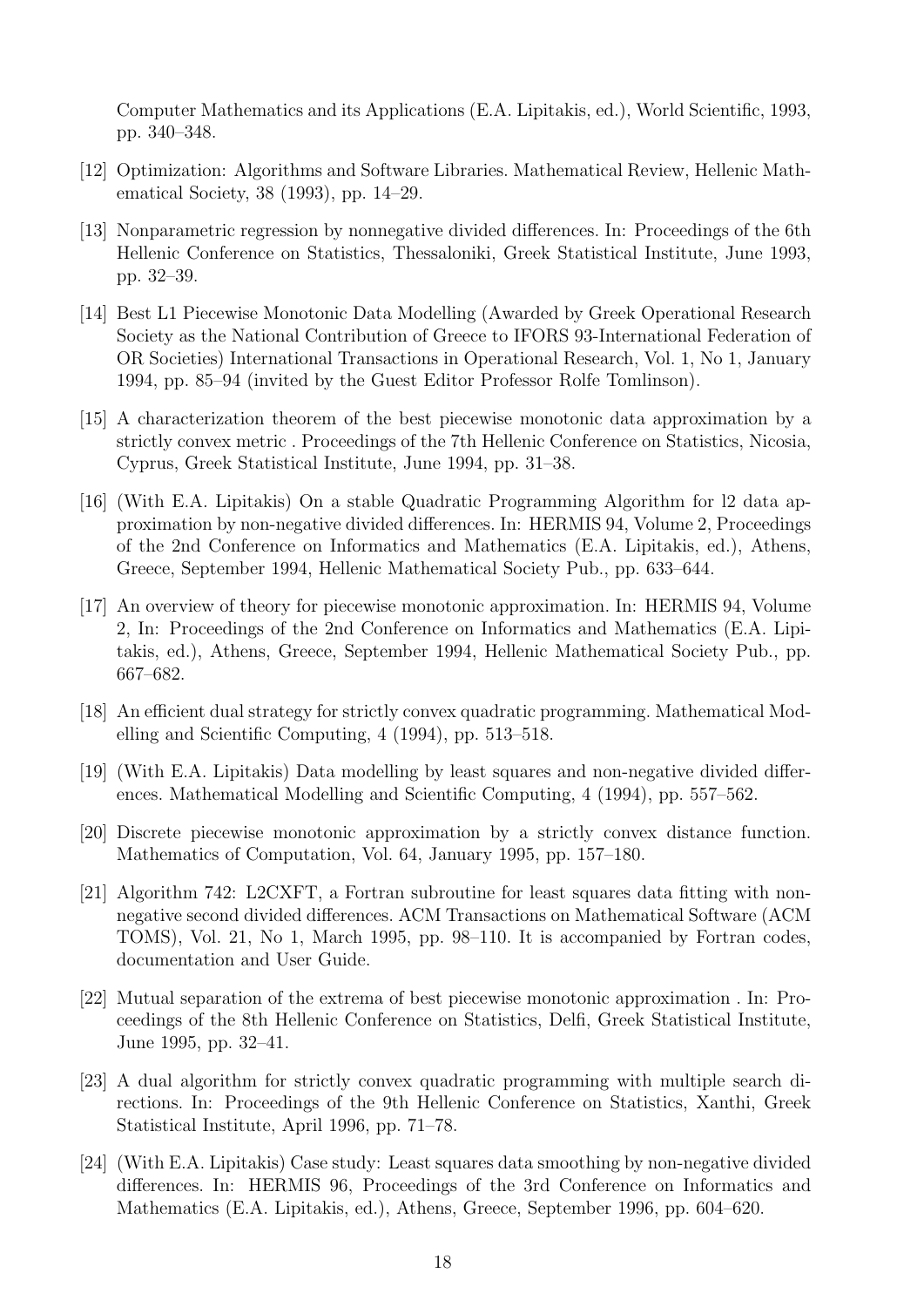Computer Mathematics and its Applications (E.A. Lipitakis, ed.), World Scientific, 1993, pp. 340–348.

- [12] Optimization: Algorithms and Software Libraries. Mathematical Review, Hellenic Mathematical Society, 38 (1993), pp. 14–29.
- [13] Nonparametric regression by nonnegative divided differences. In: Proceedings of the 6th Hellenic Conference on Statistics, Thessaloniki, Greek Statistical Institute, June 1993, pp. 32–39.
- [14] Best L1 Piecewise Monotonic Data Modelling (Awarded by Greek Operational Research Society as the National Contribution of Greece to IFORS 93-International Federation of OR Societies) International Transactions in Operational Research, Vol. 1, No 1, January 1994, pp. 85–94 (invited by the Guest Editor Professor Rolfe Tomlinson).
- [15] A characterization theorem of the best piecewise monotonic data approximation by a strictly convex metric . Proceedings of the 7th Hellenic Conference on Statistics, Nicosia, Cyprus, Greek Statistical Institute, June 1994, pp. 31–38.
- [16] (With E.A. Lipitakis) On a stable Quadratic Programming Algorithm for l2 data approximation by non-negative divided differences. In: HERMIS 94, Volume 2, Proceedings of the 2nd Conference on Informatics and Mathematics (E.A. Lipitakis, ed.), Athens, Greece, September 1994, Hellenic Mathematical Society Pub., pp. 633–644.
- [17] An overview of theory for piecewise monotonic approximation. In: HERMIS 94, Volume 2, In: Proceedings of the 2nd Conference on Informatics and Mathematics (E.A. Lipitakis, ed.), Athens, Greece, September 1994, Hellenic Mathematical Society Pub., pp. 667–682.
- [18] An efficient dual strategy for strictly convex quadratic programming. Mathematical Modelling and Scientific Computing, 4 (1994), pp. 513–518.
- [19] (With E.A. Lipitakis) Data modelling by least squares and non-negative divided differences. Mathematical Modelling and Scientific Computing, 4 (1994), pp. 557–562.
- [20] Discrete piecewise monotonic approximation by a strictly convex distance function. Mathematics of Computation, Vol. 64, January 1995, pp. 157–180.
- [21] Algorithm 742: L2CXFT, a Fortran subroutine for least squares data fitting with nonnegative second divided differences. ACM Transactions on Mathematical Software (ACM TOMS), Vol. 21, No 1, March 1995, pp. 98–110. It is accompanied by Fortran codes, documentation and User Guide.
- [22] Mutual separation of the extrema of best piecewise monotonic approximation . In: Proceedings of the 8th Hellenic Conference on Statistics, Delfi, Greek Statistical Institute, June 1995, pp. 32–41.
- [23] A dual algorithm for strictly convex quadratic programming with multiple search directions. In: Proceedings of the 9th Hellenic Conference on Statistics, Xanthi, Greek Statistical Institute, April 1996, pp. 71–78.
- [24] (With E.A. Lipitakis) Case study: Least squares data smoothing by non-negative divided differences. In: HERMIS 96, Proceedings of the 3rd Conference on Informatics and Mathematics (E.A. Lipitakis, ed.), Athens, Greece, September 1996, pp. 604–620.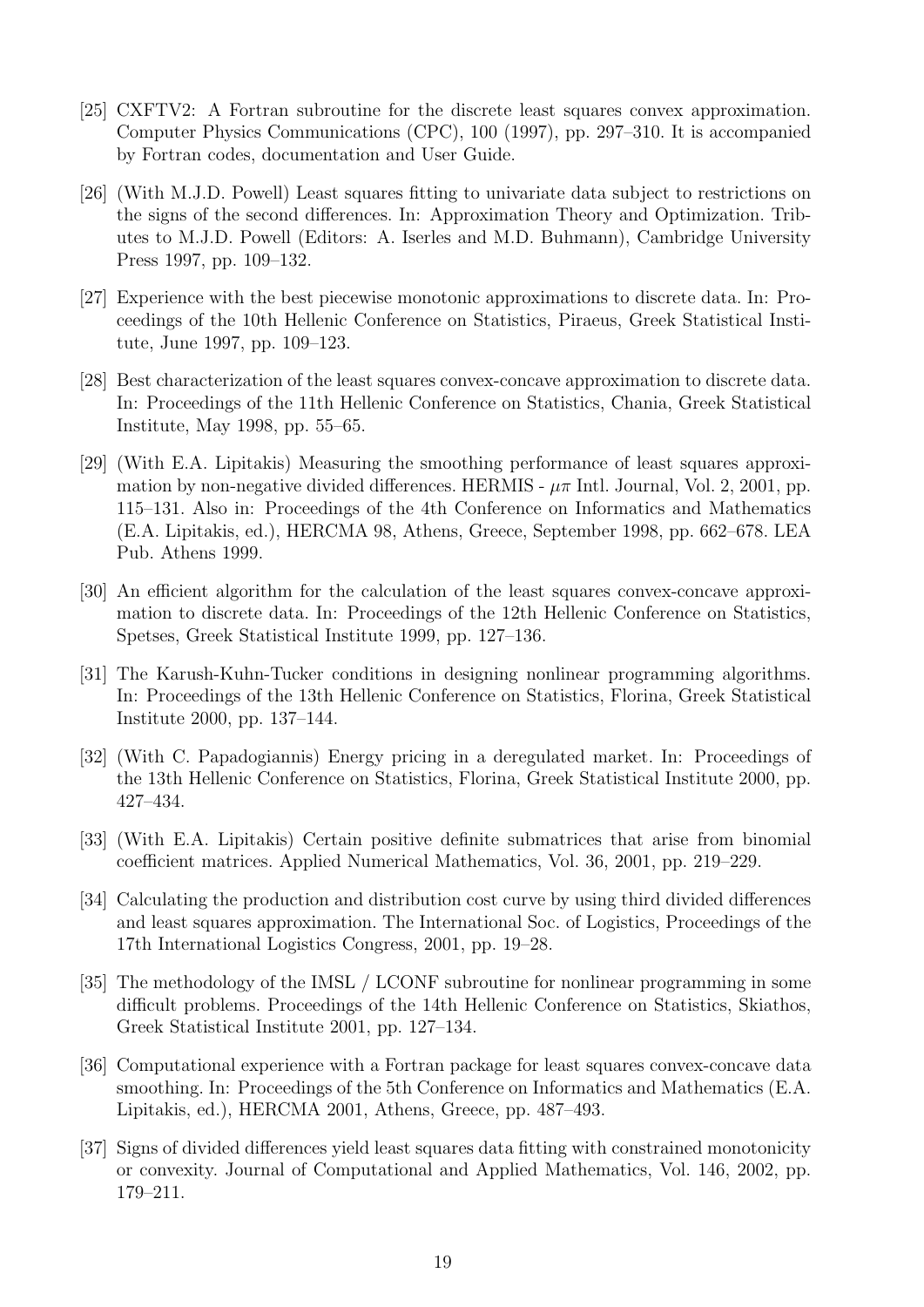- [25] CXFTV2: A Fortran subroutine for the discrete least squares convex approximation. Computer Physics Communications (CPC), 100 (1997), pp. 297–310. It is accompanied by Fortran codes, documentation and User Guide.
- [26] (With M.J.D. Powell) Least squares fitting to univariate data subject to restrictions on the signs of the second differences. In: Approximation Theory and Optimization. Tributes to M.J.D. Powell (Editors: A. Iserles and M.D. Buhmann), Cambridge University Press 1997, pp. 109–132.
- [27] Experience with the best piecewise monotonic approximations to discrete data. In: Proceedings of the 10th Hellenic Conference on Statistics, Piraeus, Greek Statistical Institute, June 1997, pp. 109–123.
- [28] Best characterization of the least squares convex-concave approximation to discrete data. In: Proceedings of the 11th Hellenic Conference on Statistics, Chania, Greek Statistical Institute, May 1998, pp. 55–65.
- [29] (With E.A. Lipitakis) Measuring the smoothing performance of least squares approximation by non-negative divided differences. HERMIS -  $\mu\pi$  Intl. Journal, Vol. 2, 2001, pp. 115–131. Also in: Proceedings of the 4th Conference on Informatics and Mathematics (E.A. Lipitakis, ed.), HERCMA 98, Athens, Greece, September 1998, pp. 662–678. LEA Pub. Athens 1999.
- [30] An efficient algorithm for the calculation of the least squares convex-concave approximation to discrete data. In: Proceedings of the 12th Hellenic Conference on Statistics, Spetses, Greek Statistical Institute 1999, pp. 127–136.
- [31] The Karush-Kuhn-Tucker conditions in designing nonlinear programming algorithms. In: Proceedings of the 13th Hellenic Conference on Statistics, Florina, Greek Statistical Institute 2000, pp. 137–144.
- [32] (With C. Papadogiannis) Energy pricing in a deregulated market. In: Proceedings of the 13th Hellenic Conference on Statistics, Florina, Greek Statistical Institute 2000, pp. 427–434.
- [33] (With E.A. Lipitakis) Certain positive definite submatrices that arise from binomial coefficient matrices. Applied Numerical Mathematics, Vol. 36, 2001, pp. 219–229.
- [34] Calculating the production and distribution cost curve by using third divided differences and least squares approximation. The International Soc. of Logistics, Proceedings of the 17th International Logistics Congress, 2001, pp. 19–28.
- [35] The methodology of the IMSL / LCONF subroutine for nonlinear programming in some difficult problems. Proceedings of the 14th Hellenic Conference on Statistics, Skiathos, Greek Statistical Institute 2001, pp. 127–134.
- [36] Computational experience with a Fortran package for least squares convex-concave data smoothing. In: Proceedings of the 5th Conference on Informatics and Mathematics (E.A. Lipitakis, ed.), HERCMA 2001, Athens, Greece, pp. 487–493.
- [37] Signs of divided differences yield least squares data fitting with constrained monotonicity or convexity. Journal of Computational and Applied Mathematics, Vol. 146, 2002, pp. 179–211.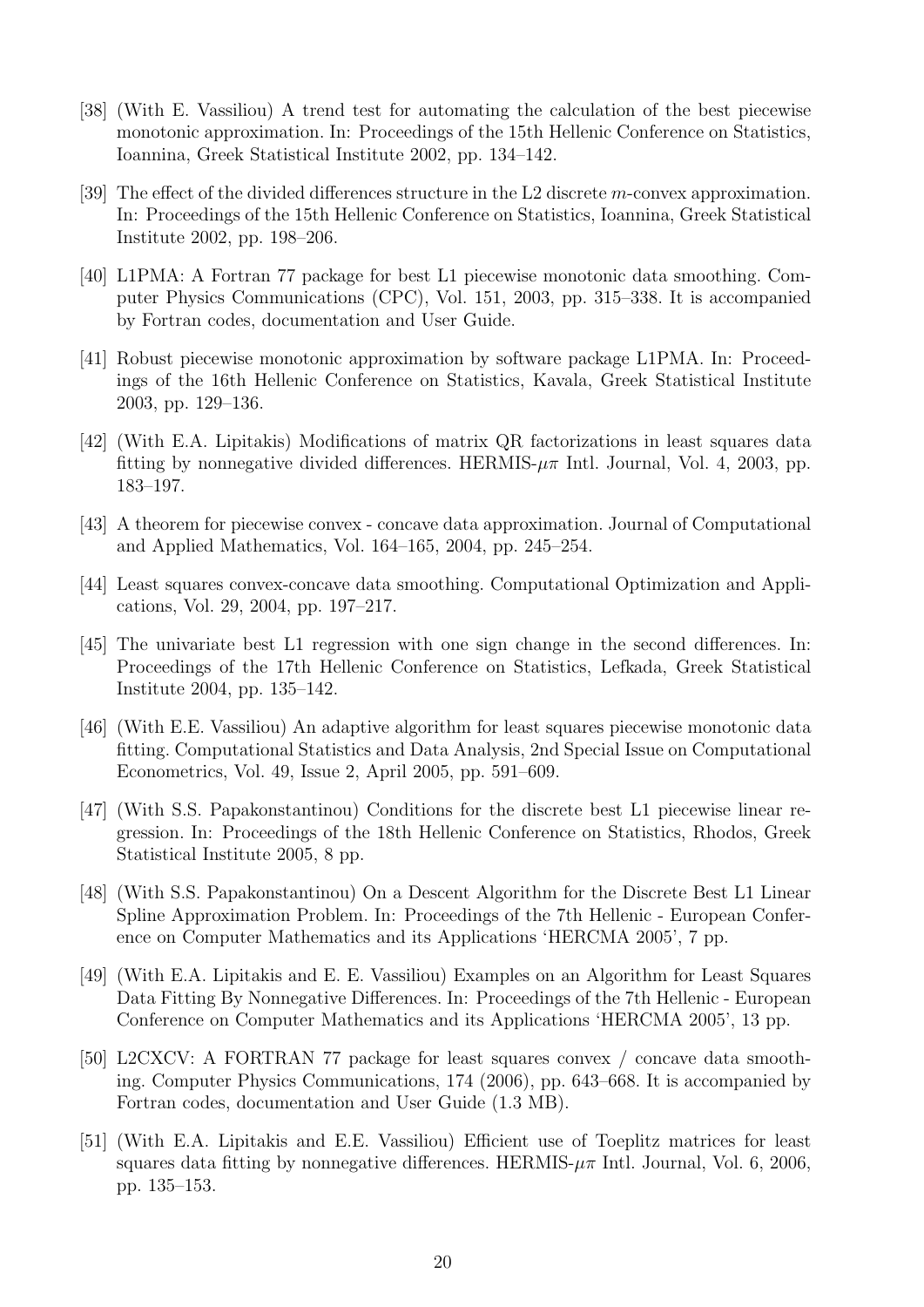- [38] (With E. Vassiliou) A trend test for automating the calculation of the best piecewise monotonic approximation. In: Proceedings of the 15th Hellenic Conference on Statistics, Ioannina, Greek Statistical Institute 2002, pp. 134–142.
- [39] The effect of the divided differences structure in the L2 discrete m-convex approximation. In: Proceedings of the 15th Hellenic Conference on Statistics, Ioannina, Greek Statistical Institute 2002, pp. 198–206.
- [40] L1PMA: A Fortran 77 package for best L1 piecewise monotonic data smoothing. Computer Physics Communications (CPC), Vol. 151, 2003, pp. 315–338. It is accompanied by Fortran codes, documentation and User Guide.
- [41] Robust piecewise monotonic approximation by software package L1PMA. In: Proceedings of the 16th Hellenic Conference on Statistics, Kavala, Greek Statistical Institute 2003, pp. 129–136.
- [42] (With E.A. Lipitakis) Modifications of matrix QR factorizations in least squares data fitting by nonnegative divided differences. HERMIS- $\mu\pi$  Intl. Journal, Vol. 4, 2003, pp. 183–197.
- [43] A theorem for piecewise convex concave data approximation. Journal of Computational and Applied Mathematics, Vol. 164–165, 2004, pp. 245–254.
- [44] Least squares convex-concave data smoothing. Computational Optimization and Applications, Vol. 29, 2004, pp. 197–217.
- [45] The univariate best L1 regression with one sign change in the second differences. In: Proceedings of the 17th Hellenic Conference on Statistics, Lefkada, Greek Statistical Institute 2004, pp. 135–142.
- [46] (With E.E. Vassiliou) An adaptive algorithm for least squares piecewise monotonic data fitting. Computational Statistics and Data Analysis, 2nd Special Issue on Computational Econometrics, Vol. 49, Issue 2, April 2005, pp. 591–609.
- [47] (With S.S. Papakonstantinou) Conditions for the discrete best L1 piecewise linear regression. In: Proceedings of the 18th Hellenic Conference on Statistics, Rhodos, Greek Statistical Institute 2005, 8 pp.
- [48] (With S.S. Papakonstantinou) On a Descent Algorithm for the Discrete Best L1 Linear Spline Approximation Problem. In: Proceedings of the 7th Hellenic - European Conference on Computer Mathematics and its Applications 'HERCMA 2005', 7 pp.
- [49] (With E.A. Lipitakis and E. E. Vassiliou) Examples on an Algorithm for Least Squares Data Fitting By Nonnegative Differences. In: Proceedings of the 7th Hellenic - European Conference on Computer Mathematics and its Applications 'HERCMA 2005', 13 pp.
- [50] L2CXCV: A FORTRAN 77 package for least squares convex / concave data smoothing. Computer Physics Communications, 174 (2006), pp. 643–668. It is accompanied by Fortran codes, documentation and User Guide (1.3 MB).
- [51] (With E.A. Lipitakis and E.E. Vassiliou) Efficient use of Toeplitz matrices for least squares data fitting by nonnegative differences. HERMIS- $\mu\pi$  Intl. Journal, Vol. 6, 2006, pp. 135–153.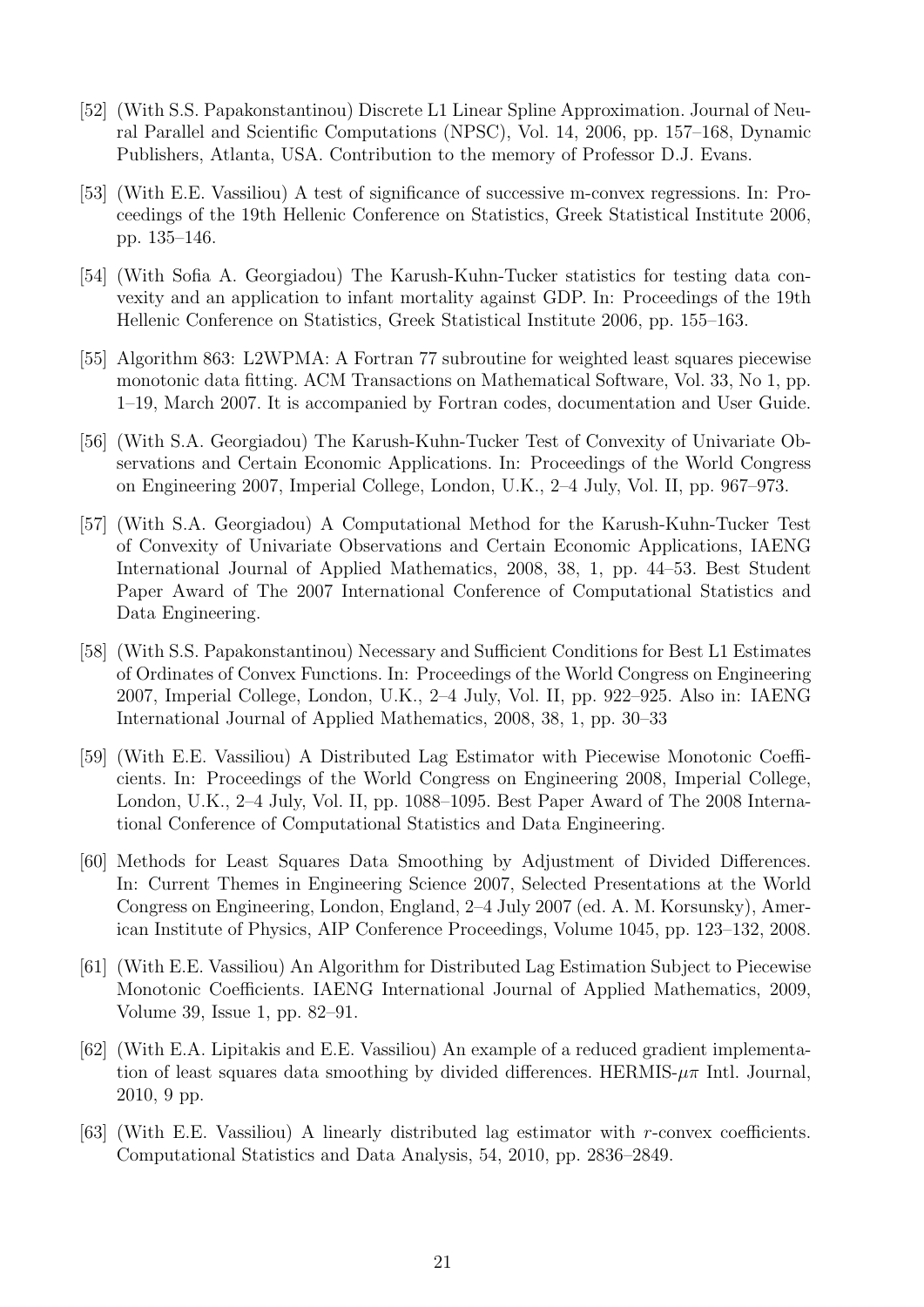- [52] (With S.S. Papakonstantinou) Discrete L1 Linear Spline Approximation. Journal of Neural Parallel and Scientific Computations (NPSC), Vol. 14, 2006, pp. 157–168, Dynamic Publishers, Atlanta, USA. Contribution to the memory of Professor D.J. Evans.
- [53] (With E.E. Vassiliou) A test of significance of successive m-convex regressions. In: Proceedings of the 19th Hellenic Conference on Statistics, Greek Statistical Institute 2006, pp. 135–146.
- [54] (With Sofia A. Georgiadou) The Karush-Kuhn-Tucker statistics for testing data convexity and an application to infant mortality against GDP. In: Proceedings of the 19th Hellenic Conference on Statistics, Greek Statistical Institute 2006, pp. 155–163.
- [55] Algorithm 863: L2WPMA: A Fortran 77 subroutine for weighted least squares piecewise monotonic data fitting. ACM Transactions on Mathematical Software, Vol. 33, No 1, pp. 1–19, March 2007. It is accompanied by Fortran codes, documentation and User Guide.
- [56] (With S.A. Georgiadou) The Karush-Kuhn-Tucker Test of Convexity of Univariate Observations and Certain Economic Applications. In: Proceedings of the World Congress on Engineering 2007, Imperial College, London, U.K., 2–4 July, Vol. II, pp. 967–973.
- [57] (With S.A. Georgiadou) A Computational Method for the Karush-Kuhn-Tucker Test of Convexity of Univariate Observations and Certain Economic Applications, IAENG International Journal of Applied Mathematics, 2008, 38, 1, pp. 44–53. Best Student Paper Award of The 2007 International Conference of Computational Statistics and Data Engineering.
- [58] (With S.S. Papakonstantinou) Necessary and Sufficient Conditions for Best L1 Estimates of Ordinates of Convex Functions. In: Proceedings of the World Congress on Engineering 2007, Imperial College, London, U.K., 2–4 July, Vol. II, pp. 922–925. Also in: IAENG International Journal of Applied Mathematics, 2008, 38, 1, pp. 30–33
- [59] (With E.E. Vassiliou) A Distributed Lag Estimator with Piecewise Monotonic Coefficients. In: Proceedings of the World Congress on Engineering 2008, Imperial College, London, U.K., 2–4 July, Vol. II, pp. 1088–1095. Best Paper Award of The 2008 International Conference of Computational Statistics and Data Engineering.
- [60] Methods for Least Squares Data Smoothing by Adjustment of Divided Differences. In: Current Themes in Engineering Science 2007, Selected Presentations at the World Congress on Engineering, London, England, 2–4 July 2007 (ed. A. M. Korsunsky), American Institute of Physics, AIP Conference Proceedings, Volume 1045, pp. 123–132, 2008.
- [61] (With E.E. Vassiliou) An Algorithm for Distributed Lag Estimation Subject to Piecewise Monotonic Coefficients. IAENG International Journal of Applied Mathematics, 2009, Volume 39, Issue 1, pp. 82–91.
- [62] (With E.A. Lipitakis and E.E. Vassiliou) An example of a reduced gradient implementation of least squares data smoothing by divided differences. HERMIS- $\mu\pi$  Intl. Journal, 2010, 9 pp.
- [63] (With E.E. Vassiliou) A linearly distributed lag estimator with r-convex coefficients. Computational Statistics and Data Analysis, 54, 2010, pp. 2836–2849.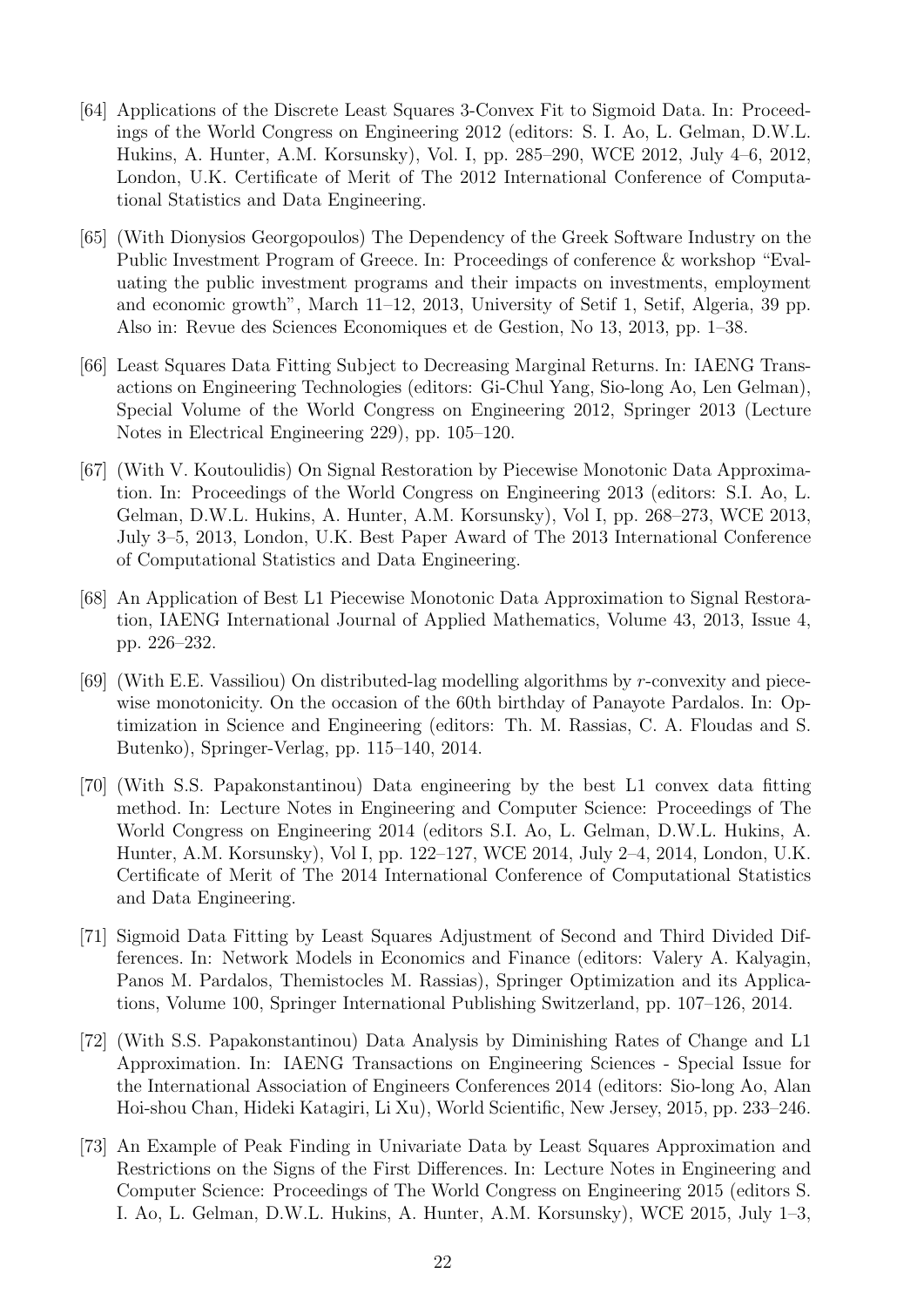- [64] Applications of the Discrete Least Squares 3-Convex Fit to Sigmoid Data. In: Proceedings of the World Congress on Engineering 2012 (editors: S. I. Ao, L. Gelman, D.W.L. Hukins, A. Hunter, A.M. Korsunsky), Vol. I, pp. 285–290, WCE 2012, July 4–6, 2012, London, U.K. Certificate of Merit of The 2012 International Conference of Computational Statistics and Data Engineering.
- [65] (With Dionysios Georgopoulos) The Dependency of the Greek Software Industry on the Public Investment Program of Greece. In: Proceedings of conference & workshop "Evaluating the public investment programs and their impacts on investments, employment and economic growth", March 11–12, 2013, University of Setif 1, Setif, Algeria, 39 pp. Also in: Revue des Sciences Economiques et de Gestion, No 13, 2013, pp. 1–38.
- [66] Least Squares Data Fitting Subject to Decreasing Marginal Returns. In: IAENG Transactions on Engineering Technologies (editors: Gi-Chul Yang, Sio-long Ao, Len Gelman), Special Volume of the World Congress on Engineering 2012, Springer 2013 (Lecture Notes in Electrical Engineering 229), pp. 105–120.
- [67] (With V. Koutoulidis) On Signal Restoration by Piecewise Monotonic Data Approximation. In: Proceedings of the World Congress on Engineering 2013 (editors: S.I. Ao, L. Gelman, D.W.L. Hukins, A. Hunter, A.M. Korsunsky), Vol I, pp. 268–273, WCE 2013, July 3–5, 2013, London, U.K. Best Paper Award of The 2013 International Conference of Computational Statistics and Data Engineering.
- [68] An Application of Best L1 Piecewise Monotonic Data Approximation to Signal Restoration, IAENG International Journal of Applied Mathematics, Volume 43, 2013, Issue 4, pp. 226–232.
- [69] (With E.E. Vassiliou) On distributed-lag modelling algorithms by r-convexity and piecewise monotonicity. On the occasion of the 60th birthday of Panayote Pardalos. In: Optimization in Science and Engineering (editors: Th. M. Rassias, C. A. Floudas and S. Butenko), Springer-Verlag, pp. 115–140, 2014.
- [70] (With S.S. Papakonstantinou) Data engineering by the best L1 convex data fitting method. In: Lecture Notes in Engineering and Computer Science: Proceedings of The World Congress on Engineering 2014 (editors S.I. Ao, L. Gelman, D.W.L. Hukins, A. Hunter, A.M. Korsunsky), Vol I, pp. 122–127, WCE 2014, July 2–4, 2014, London, U.K. Certificate of Merit of The 2014 International Conference of Computational Statistics and Data Engineering.
- [71] Sigmoid Data Fitting by Least Squares Adjustment of Second and Third Divided Differences. In: Network Models in Economics and Finance (editors: Valery A. Kalyagin, Panos M. Pardalos, Themistocles M. Rassias), Springer Optimization and its Applications, Volume 100, Springer International Publishing Switzerland, pp. 107–126, 2014.
- [72] (With S.S. Papakonstantinou) Data Analysis by Diminishing Rates of Change and L1 Approximation. In: IAENG Transactions on Engineering Sciences - Special Issue for the International Association of Engineers Conferences 2014 (editors: Sio-long Ao, Alan Hoi-shou Chan, Hideki Katagiri, Li Xu), World Scientific, New Jersey, 2015, pp. 233–246.
- [73] An Example of Peak Finding in Univariate Data by Least Squares Approximation and Restrictions on the Signs of the First Differences. In: Lecture Notes in Engineering and Computer Science: Proceedings of The World Congress on Engineering 2015 (editors S. I. Ao, L. Gelman, D.W.L. Hukins, A. Hunter, A.M. Korsunsky), WCE 2015, July 1–3,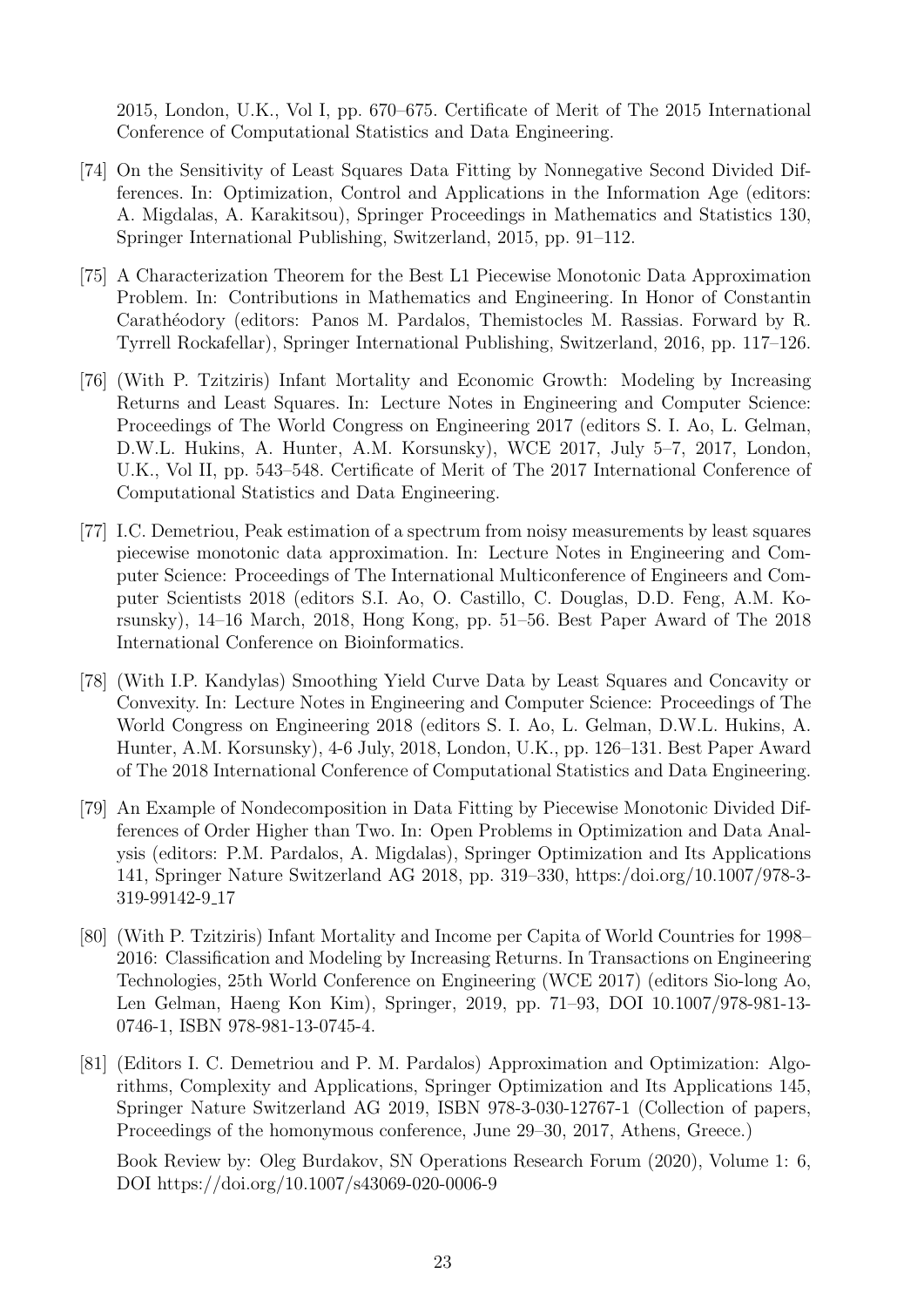2015, London, U.K., Vol I, pp. 670–675. Certificate of Merit of The 2015 International Conference of Computational Statistics and Data Engineering.

- [74] On the Sensitivity of Least Squares Data Fitting by Nonnegative Second Divided Differences. In: Optimization, Control and Applications in the Information Age (editors: A. Migdalas, A. Karakitsou), Springer Proceedings in Mathematics and Statistics 130, Springer International Publishing, Switzerland, 2015, pp. 91–112.
- [75] A Characterization Theorem for the Best L1 Piecewise Monotonic Data Approximation Problem. In: Contributions in Mathematics and Engineering. In Honor of Constantin Carathéodory (editors: Panos M. Pardalos, Themistocles M. Rassias. Forward by R. Tyrrell Rockafellar), Springer International Publishing, Switzerland, 2016, pp. 117–126.
- [76] (With P. Tzitziris) Infant Mortality and Economic Growth: Modeling by Increasing Returns and Least Squares. In: Lecture Notes in Engineering and Computer Science: Proceedings of The World Congress on Engineering 2017 (editors S. I. Ao, L. Gelman, D.W.L. Hukins, A. Hunter, A.M. Korsunsky), WCE 2017, July 5–7, 2017, London, U.K., Vol II, pp. 543–548. Certificate of Merit of The 2017 International Conference of Computational Statistics and Data Engineering.
- [77] I.C. Demetriou, Peak estimation of a spectrum from noisy measurements by least squares piecewise monotonic data approximation. In: Lecture Notes in Engineering and Computer Science: Proceedings of The International Multiconference of Engineers and Computer Scientists 2018 (editors S.I. Ao, O. Castillo, C. Douglas, D.D. Feng, A.M. Korsunsky), 14–16 March, 2018, Hong Kong, pp. 51–56. Best Paper Award of The 2018 International Conference on Bioinformatics.
- [78] (With I.P. Kandylas) Smoothing Yield Curve Data by Least Squares and Concavity or Convexity. In: Lecture Notes in Engineering and Computer Science: Proceedings of The World Congress on Engineering 2018 (editors S. I. Ao, L. Gelman, D.W.L. Hukins, A. Hunter, A.M. Korsunsky), 4-6 July, 2018, London, U.K., pp. 126–131. Best Paper Award of The 2018 International Conference of Computational Statistics and Data Engineering.
- [79] An Example of Nondecomposition in Data Fitting by Piecewise Monotonic Divided Differences of Order Higher than Two. In: Open Problems in Optimization and Data Analysis (editors: P.M. Pardalos, A. Migdalas), Springer Optimization and Its Applications 141, Springer Nature Switzerland AG 2018, pp. 319–330, https:/doi.org/10.1007/978-3- 319-99142-9 17
- [80] (With P. Tzitziris) Infant Mortality and Income per Capita of World Countries for 1998– 2016: Classification and Modeling by Increasing Returns. In Transactions on Engineering Technologies, 25th World Conference on Engineering (WCE 2017) (editors Sio-long Ao, Len Gelman, Haeng Kon Kim), Springer, 2019, pp. 71–93, DOI 10.1007/978-981-13- 0746-1, ISBN 978-981-13-0745-4.
- [81] (Editors I. C. Demetriou and P. M. Pardalos) Approximation and Optimization: Algorithms, Complexity and Applications, Springer Optimization and Its Applications 145, Springer Nature Switzerland AG 2019, ISBN 978-3-030-12767-1 (Collection of papers, Proceedings of the homonymous conference, June 29–30, 2017, Athens, Greece.)

Book Review by: Oleg Burdakov, SN Operations Research Forum (2020), Volume 1: 6, DOI https://doi.org/10.1007/s43069-020-0006-9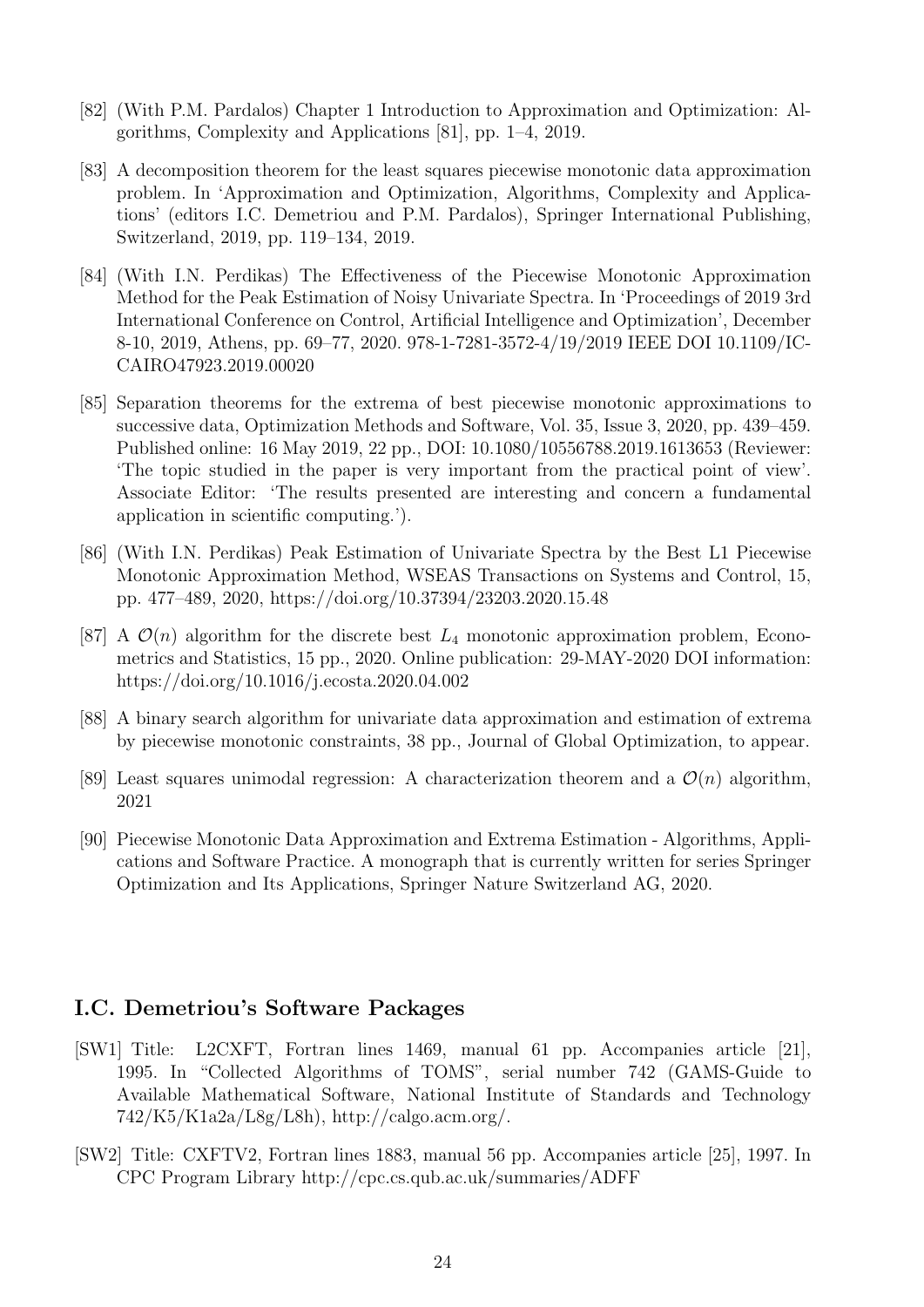- [82] (With P.M. Pardalos) Chapter 1 Introduction to Approximation and Optimization: Algorithms, Complexity and Applications [81], pp. 1–4, 2019.
- [83] A decomposition theorem for the least squares piecewise monotonic data approximation problem. In 'Approximation and Optimization, Algorithms, Complexity and Applications' (editors I.C. Demetriou and P.M. Pardalos), Springer International Publishing, Switzerland, 2019, pp. 119–134, 2019.
- [84] (With I.N. Perdikas) The Effectiveness of the Piecewise Monotonic Approximation Method for the Peak Estimation of Noisy Univariate Spectra. In 'Proceedings of 2019 3rd International Conference on Control, Artificial Intelligence and Optimization', December 8-10, 2019, Athens, pp. 69–77, 2020. 978-1-7281-3572-4/19/2019 IEEE DOI 10.1109/IC-CAIRO47923.2019.00020
- [85] Separation theorems for the extrema of best piecewise monotonic approximations to successive data, Optimization Methods and Software, Vol. 35, Issue 3, 2020, pp. 439–459. Published online: 16 May 2019, 22 pp., DOI: 10.1080/10556788.2019.1613653 (Reviewer: 'The topic studied in the paper is very important from the practical point of view'. Associate Editor: 'The results presented are interesting and concern a fundamental application in scientific computing.').
- [86] (With I.N. Perdikas) Peak Estimation of Univariate Spectra by the Best L1 Piecewise Monotonic Approximation Method, WSEAS Transactions on Systems and Control, 15, pp. 477–489, 2020, https://doi.org/10.37394/23203.2020.15.48
- [87] A  $\mathcal{O}(n)$  algorithm for the discrete best  $L_4$  monotonic approximation problem, Econometrics and Statistics, 15 pp., 2020. Online publication: 29-MAY-2020 DOI information: https://doi.org/10.1016/j.ecosta.2020.04.002
- [88] A binary search algorithm for univariate data approximation and estimation of extrema by piecewise monotonic constraints, 38 pp., Journal of Global Optimization, to appear.
- [89] Least squares unimodal regression: A characterization theorem and a  $\mathcal{O}(n)$  algorithm, 2021
- [90] Piecewise Monotonic Data Approximation and Extrema Estimation Algorithms, Applications and Software Practice. A monograph that is currently written for series Springer Optimization and Its Applications, Springer Nature Switzerland AG, 2020.

# I.C. Demetriou's Software Packages

- [SW1] Title: L2CXFT, Fortran lines 1469, manual 61 pp. Accompanies article [21], 1995. In "Collected Algorithms of TOMS", serial number 742 (GAMS-Guide to Available Mathematical Software, National Institute of Standards and Technology 742/K5/K1a2a/L8g/L8h), http://calgo.acm.org/.
- [SW2] Title: CXFTV2, Fortran lines 1883, manual 56 pp. Accompanies article [25], 1997. In CPC Program Library http://cpc.cs.qub.ac.uk/summaries/ADFF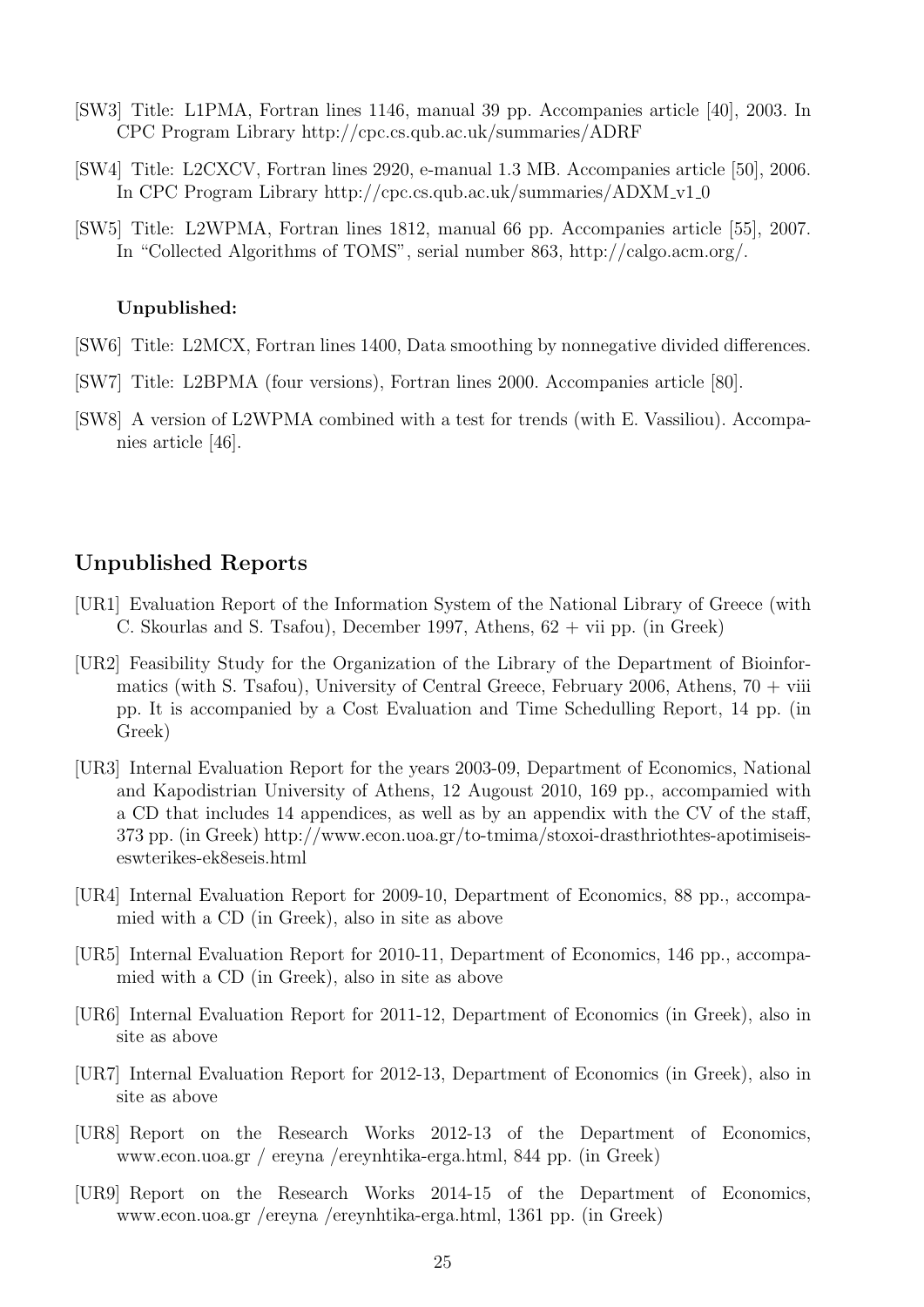- [SW3] Title: L1PMA, Fortran lines 1146, manual 39 pp. Accompanies article [40], 2003. In CPC Program Library http://cpc.cs.qub.ac.uk/summaries/ADRF
- [SW4] Title: L2CXCV, Fortran lines 2920, e-manual 1.3 MB. Accompanies article [50], 2006. In CPC Program Library http://cpc.cs.qub.ac.uk/summaries/ADXM v1 0
- [SW5] Title: L2WPMA, Fortran lines 1812, manual 66 pp. Accompanies article [55], 2007. In "Collected Algorithms of TOMS", serial number 863, http://calgo.acm.org/.

#### Unpublished:

- [SW6] Title: L2MCX, Fortran lines 1400, Data smoothing by nonnegative divided differences.
- [SW7] Title: L2BPMA (four versions), Fortran lines 2000. Accompanies article [80].
- [SW8] A version of L2WPMA combined with a test for trends (with E. Vassiliou). Accompanies article [46].

## Unpublished Reports

- [UR1] Evaluation Report of the Information System of the National Library of Greece (with C. Skourlas and S. Tsafou), December 1997, Athens, 62 + vii pp. (in Greek)
- [UR2] Feasibility Study for the Organization of the Library of the Department of Bioinformatics (with S. Tsafou), University of Central Greece, February 2006, Athens,  $70 + viii$ pp. It is accompanied by a Cost Evaluation and Time Schedulling Report, 14 pp. (in Greek)
- [UR3] Internal Evaluation Report for the years 2003-09, Department of Economics, National and Kapodistrian University of Athens, 12 Augoust 2010, 169 pp., accompamied with a CD that includes 14 appendices, as well as by an appendix with the CV of the staff, 373 pp. (in Greek) http://www.econ.uoa.gr/to-tmima/stoxoi-drasthriothtes-apotimiseiseswterikes-ek8eseis.html
- [UR4] Internal Evaluation Report for 2009-10, Department of Economics, 88 pp., accompamied with a CD (in Greek), also in site as above
- [UR5] Internal Evaluation Report for 2010-11, Department of Economics, 146 pp., accompamied with a CD (in Greek), also in site as above
- [UR6] Internal Evaluation Report for 2011-12, Department of Economics (in Greek), also in site as above
- [UR7] Internal Evaluation Report for 2012-13, Department of Economics (in Greek), also in site as above
- [UR8] Report on the Research Works 2012-13 of the Department of Economics, www.econ.uoa.gr / ereyna /ereynhtika-erga.html, 844 pp. (in Greek)
- [UR9] Report on the Research Works 2014-15 of the Department of Economics, www.econ.uoa.gr /ereyna /ereynhtika-erga.html, 1361 pp. (in Greek)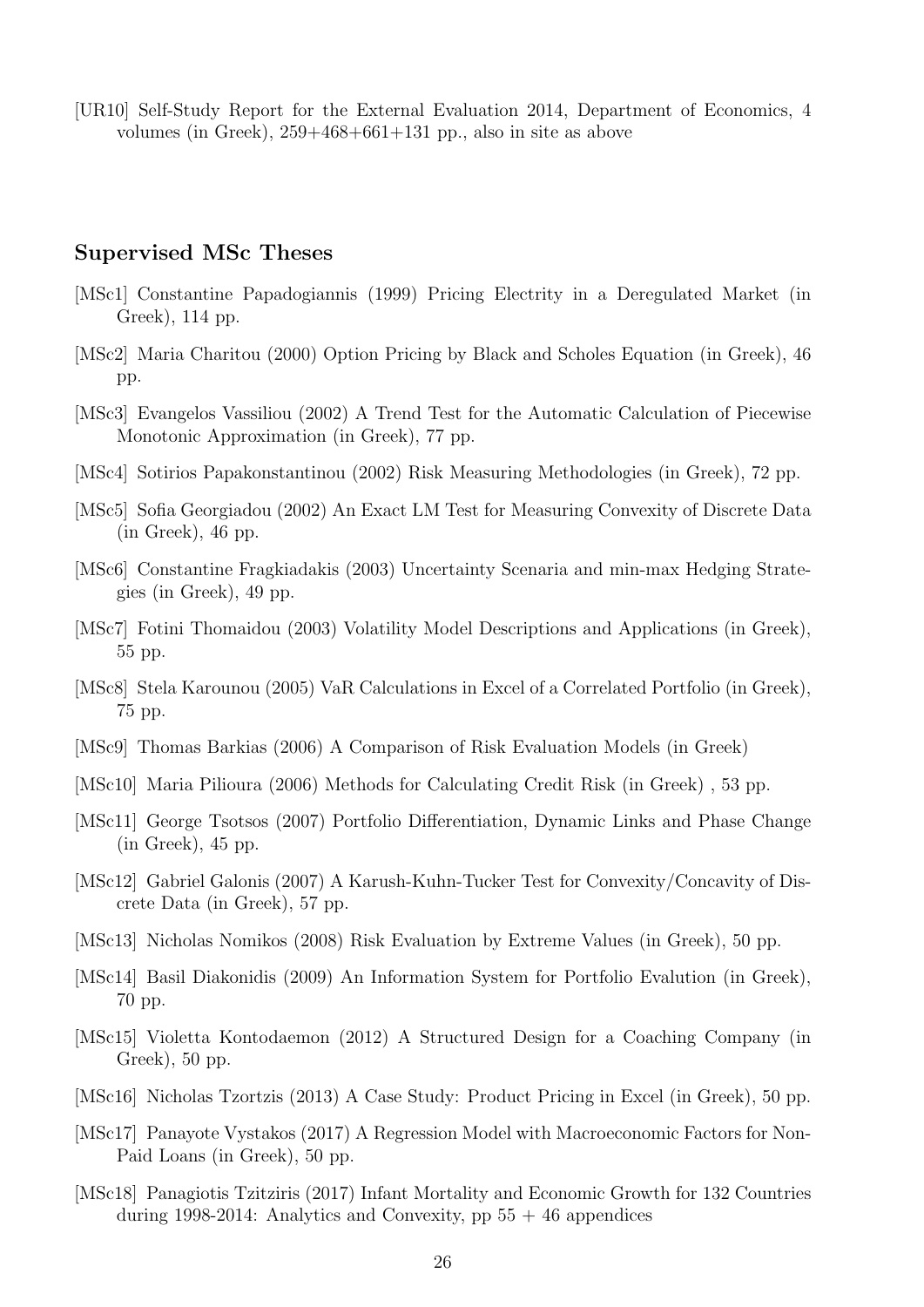[UR10] Self-Study Report for the External Evaluation 2014, Department of Economics, 4 volumes (in Greek), 259+468+661+131 pp., also in site as above

### Supervised MSc Theses

- [MSc1] Constantine Papadogiannis (1999) Pricing Electrity in a Deregulated Market (in Greek), 114 pp.
- [MSc2] Maria Charitou (2000) Option Pricing by Black and Scholes Equation (in Greek), 46 pp.
- [MSc3] Evangelos Vassiliou (2002) A Trend Test for the Automatic Calculation of Piecewise Monotonic Approximation (in Greek), 77 pp.
- [MSc4] Sotirios Papakonstantinou (2002) Risk Measuring Methodologies (in Greek), 72 pp.
- [MSc5] Sofia Georgiadou (2002) An Exact LM Test for Measuring Convexity of Discrete Data (in Greek), 46 pp.
- [MSc6] Constantine Fragkiadakis (2003) Uncertainty Scenaria and min-max Hedging Strategies (in Greek), 49 pp.
- [MSc7] Fotini Thomaidou (2003) Volatility Model Descriptions and Applications (in Greek), 55 pp.
- [MSc8] Stela Karounou (2005) VaR Calculations in Excel of a Correlated Portfolio (in Greek), 75 pp.
- [MSc9] Thomas Barkias (2006) A Comparison of Risk Evaluation Models (in Greek)
- [MSc10] Maria Pilioura (2006) Methods for Calculating Credit Risk (in Greek), 53 pp.
- [MSc11] George Tsotsos (2007) Portfolio Differentiation, Dynamic Links and Phase Change (in Greek), 45 pp.
- [MSc12] Gabriel Galonis (2007) A Karush-Kuhn-Tucker Test for Convexity/Concavity of Discrete Data (in Greek), 57 pp.
- [MSc13] Nicholas Nomikos (2008) Risk Evaluation by Extreme Values (in Greek), 50 pp.
- [MSc14] Basil Diakonidis (2009) An Information System for Portfolio Evalution (in Greek), 70 pp.
- [MSc15] Violetta Kontodaemon (2012) A Structured Design for a Coaching Company (in Greek), 50 pp.
- [MSc16] Nicholas Tzortzis (2013) A Case Study: Product Pricing in Excel (in Greek), 50 pp.
- [MSc17] Panayote Vystakos (2017) A Regression Model with Macroeconomic Factors for Non-Paid Loans (in Greek), 50 pp.
- [MSc18] Panagiotis Tzitziris (2017) Infant Mortality and Economic Growth for 132 Countries during 1998-2014: Analytics and Convexity, pp  $55 + 46$  appendices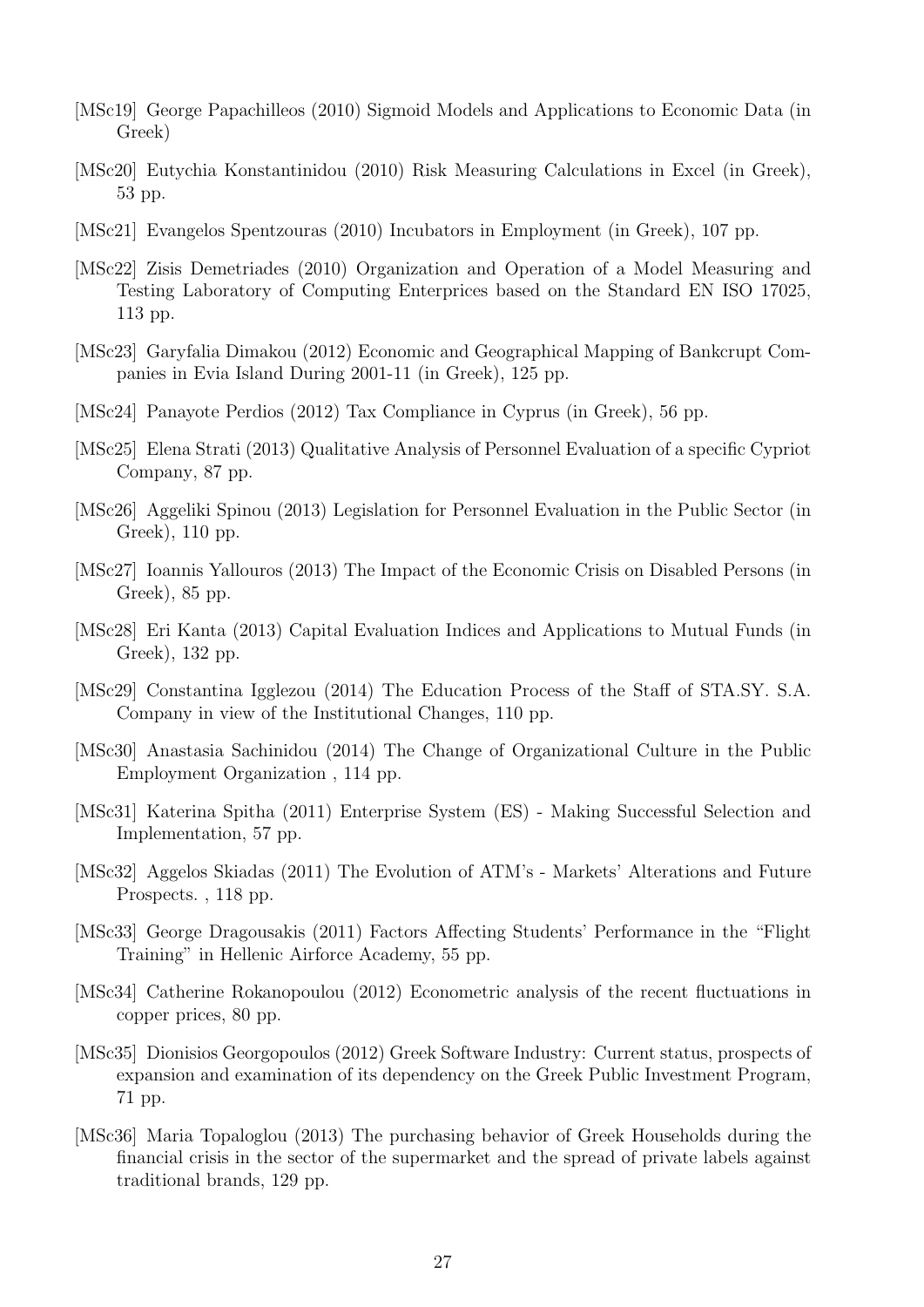- [MSc19] George Papachilleos (2010) Sigmoid Models and Applications to Economic Data (in Greek)
- [MSc20] Eutychia Konstantinidou (2010) Risk Measuring Calculations in Excel (in Greek), 53 pp.
- [MSc21] Evangelos Spentzouras (2010) Incubators in Employment (in Greek), 107 pp.
- [MSc22] Zisis Demetriades (2010) Organization and Operation of a Model Measuring and Testing Laboratory of Computing Enterprices based on the Standard EN ISO 17025, 113 pp.
- [MSc23] Garyfalia Dimakou (2012) Economic and Geographical Mapping of Bankcrupt Companies in Evia Island During 2001-11 (in Greek), 125 pp.
- [MSc24] Panayote Perdios (2012) Tax Compliance in Cyprus (in Greek), 56 pp.
- [MSc25] Elena Strati (2013) Qualitative Analysis of Personnel Evaluation of a specific Cypriot Company, 87 pp.
- [MSc26] Aggeliki Spinou (2013) Legislation for Personnel Evaluation in the Public Sector (in Greek), 110 pp.
- [MSc27] Ioannis Yallouros (2013) The Impact of the Economic Crisis on Disabled Persons (in Greek), 85 pp.
- [MSc28] Eri Kanta (2013) Capital Evaluation Indices and Applications to Mutual Funds (in Greek), 132 pp.
- [MSc29] Constantina Igglezou (2014) The Education Process of the Staff of STA.SY. S.A. Company in view of the Institutional Changes, 110 pp.
- [MSc30] Anastasia Sachinidou (2014) The Change of Organizational Culture in the Public Employment Organization , 114 pp.
- [MSc31] Katerina Spitha (2011) Enterprise System (ES) Making Successful Selection and Implementation, 57 pp.
- [MSc32] Aggelos Skiadas (2011) The Evolution of ATM's Markets' Alterations and Future Prospects. , 118 pp.
- [MSc33] George Dragousakis (2011) Factors Affecting Students' Performance in the "Flight Training" in Hellenic Airforce Academy, 55 pp.
- [MSc34] Catherine Rokanopoulou (2012) Econometric analysis of the recent fluctuations in copper prices, 80 pp.
- [MSc35] Dionisios Georgopoulos (2012) Greek Software Industry: Current status, prospects of expansion and examination of its dependency on the Greek Public Investment Program, 71 pp.
- [MSc36] Maria Topaloglou (2013) The purchasing behavior of Greek Households during the financial crisis in the sector of the supermarket and the spread of private labels against traditional brands, 129 pp.